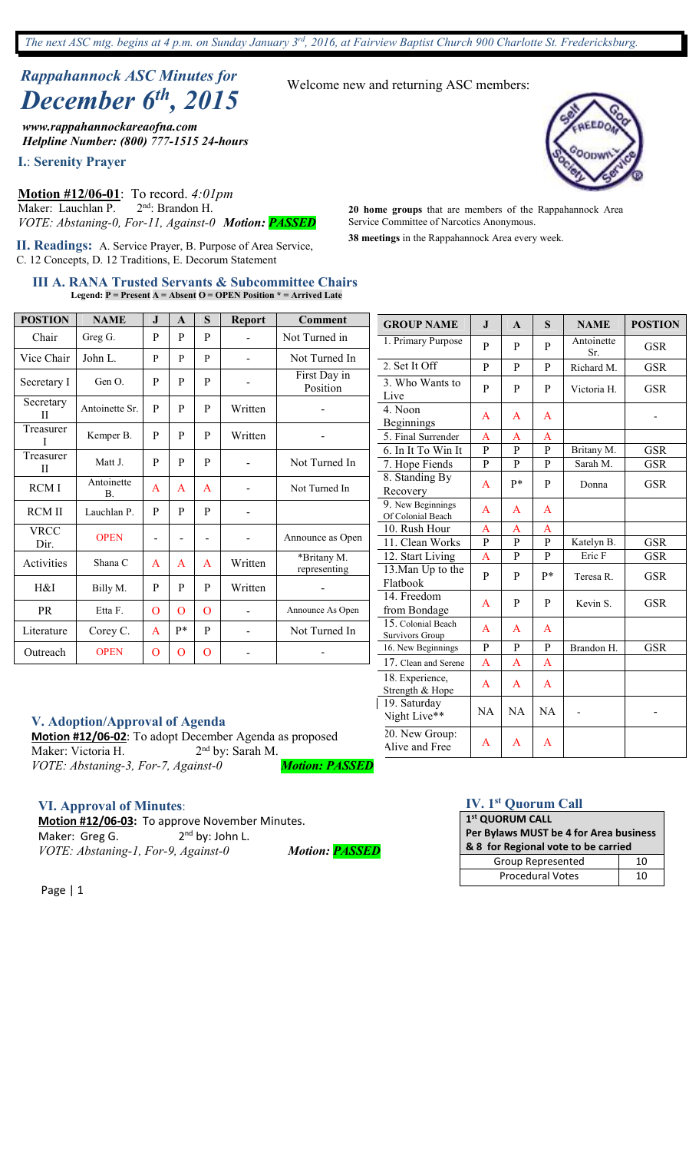*The next ASC mtg. begins at 4 p.m. on Sunday January 3rd, 2016, at Fairview Baptist Church 900 Charlotte St. Fredericksburg.*

# *Rappahannock ASC Minutes for December 6th, 2015*

*www.rappahannockareaofna.com Helpline Number: (800) 777-1515 24-hours*

**I.**: **Serenity Prayer**

#### **Motion #12/06-01**: To record. *4:01pm*<br>Maker: Lauchlan P. 2<sup>nd</sup>: Brandon H. Maker: Lauchlan P. *VOTE: Abstaning-0, For-11, Against-0 Motion: PASSED*

**II. Readings:** A. Service Prayer, B. Purpose of Area Service, C. 12 Concepts, D. 12 Traditions, E. Decorum Statement

# **Legend: P = Present A = Absent O = OPEN Position \* = Arrived Late III A. RANA Trusted Servants & Subcommittee Chairs**

| <b>POSTION</b>      | <b>NAME</b>                  | $\mathbf{J}$ | $\mathbf{A}$ | S | <b>Report</b> | <b>Comment</b>              |
|---------------------|------------------------------|--------------|--------------|---|---------------|-----------------------------|
| Chair               | Greg G.                      | P            | P            | P |               | Not Turned in               |
| Vice Chair          | John L.                      | P            | P            | P |               | Not Turned In               |
| Secretary I         | Gen O.                       | P            | P            | P |               | First Day in<br>Position    |
| Secretary<br>П      | Antoinette Sr.               | P            | P            | P | Written       |                             |
| Treasurer<br>I      | Kemper B.                    | P            | P            | P | Written       |                             |
| Treasurer<br>Н      | Matt J.                      | P            | P            | P |               | Not Turned In               |
| <b>RCMI</b>         | Antoinette<br>$\mathbf{B}$ . | A            | A            | A |               | Not Turned In               |
| <b>RCMII</b>        | Lauchlan P.                  | P            | P            | P |               |                             |
| <b>VRCC</b><br>Dir. | <b>OPEN</b>                  |              | -            |   |               | Announce as Open            |
| Activities          | Shana C                      | A            | A            | A | Written       | *Britany M.<br>representing |
| H&I                 | Billy M.                     | P            | P            | P | Written       |                             |
| <b>PR</b>           | Etta F.                      | O            | $\Omega$     | O |               | Announce As Open            |
| Literature          | Corey C.                     | A            | p*           | P |               | Not Turned In               |
| Outreach            | <b>OPEN</b>                  | O            | $\Omega$     | O |               |                             |

## Welcome new and returning ASC members:



**20 home groups** that are members of the Rappahannock Area Service Committee of Narcotics Anonymous.

**38 meetings** in the Rappahannock Area every week.

| <b>GROUP NAME</b>                      | $\mathbf{J}$ | $\mathbf{A}$   | S            | <b>NAME</b>       | <b>POSTION</b> |
|----------------------------------------|--------------|----------------|--------------|-------------------|----------------|
| 1. Primary Purpose                     | P            | P              | P            | Antoinette<br>Sr. | <b>GSR</b>     |
| 2. Set It Off                          | P            | P              | P            | Richard M.        | <b>GSR</b>     |
| 3. Who Wants to<br>Live                | P            | P              | P            | Victoria H.       | GSR            |
| 4. Noon<br>Beginnings                  | A            | A              | $\mathsf{A}$ |                   |                |
| 5. Final Surrender                     | A            | A              | A            |                   |                |
| 6. In It To Win It                     | $\mathbf{P}$ | P              | $\mathbf{P}$ | Britany M.        | <b>GSR</b>     |
| 7. Hope Fiends                         | $\mathbf{P}$ | P              | P            | Sarah M.          | <b>GSR</b>     |
| 8. Standing By<br>Recovery             | A            | p*             | P            | Donna             | <b>GSR</b>     |
| 9. New Beginnings<br>Of Colonial Beach | A            | A              | A            |                   |                |
| 10. Rush Hour                          | A            | A              | A            |                   |                |
| 11. Clean Works                        | P            | P              | P            | Katelyn B.        | <b>GSR</b>     |
| 12. Start Living                       | A            | P              | P            | Eric F            | <b>GSR</b>     |
| 13. Man Up to the<br>Flatbook          | P            | P              | $P*$         | Teresa R.         | <b>GSR</b>     |
| 14. Freedom<br>from Bondage            | A            | P              | P            | Kevin S.          | <b>GSR</b>     |
| 15. Colonial Beach<br>Survivors Group  | A            | A              | A            |                   |                |
| 16. New Beginnings                     | P            | P              | P            | Brandon H.        | <b>GSR</b>     |
| 17. Clean and Serene                   | A            | $\overline{A}$ | A            |                   |                |
| 18. Experience,<br>Strength & Hope     | A            | A              | A            |                   |                |
| 19. Saturday<br>Night Live**           | NA           | NA             | NA           |                   |                |
| 20. New Group:<br>Alive and Free       | A            | A              | A            |                   |                |

#### **V. Adoption/Approval of Agenda**

**Motion #12/06-02**: To adopt December Agenda as proposed Maker: Victoria H.  $2<sup>nd</sup>$  by: Sarah M.<br>*VOTE: Abstaning-3, For-7, Against-0* Motion: PASSED *VOTE: Abstaning-3, For-7, Against-0* 

**VI. Approval of Minutes**:

**Motion #12/06-03:** To approve November Minutes. Maker: Greg G. 2<sup>nd</sup> by: John L. *VOTE: Abstaning-1, For-9, Against-0 Motion: PASSED* 

#### **IV. 1st Quorum Call**

| 1 <sup>st</sup> QUORUM CALL            |    |  |  |  |
|----------------------------------------|----|--|--|--|
| Per Bylaws MUST be 4 for Area business |    |  |  |  |
| & 8 for Regional vote to be carried    |    |  |  |  |
| Group Represented<br>10                |    |  |  |  |
| <b>Procedural Votes</b>                | 10 |  |  |  |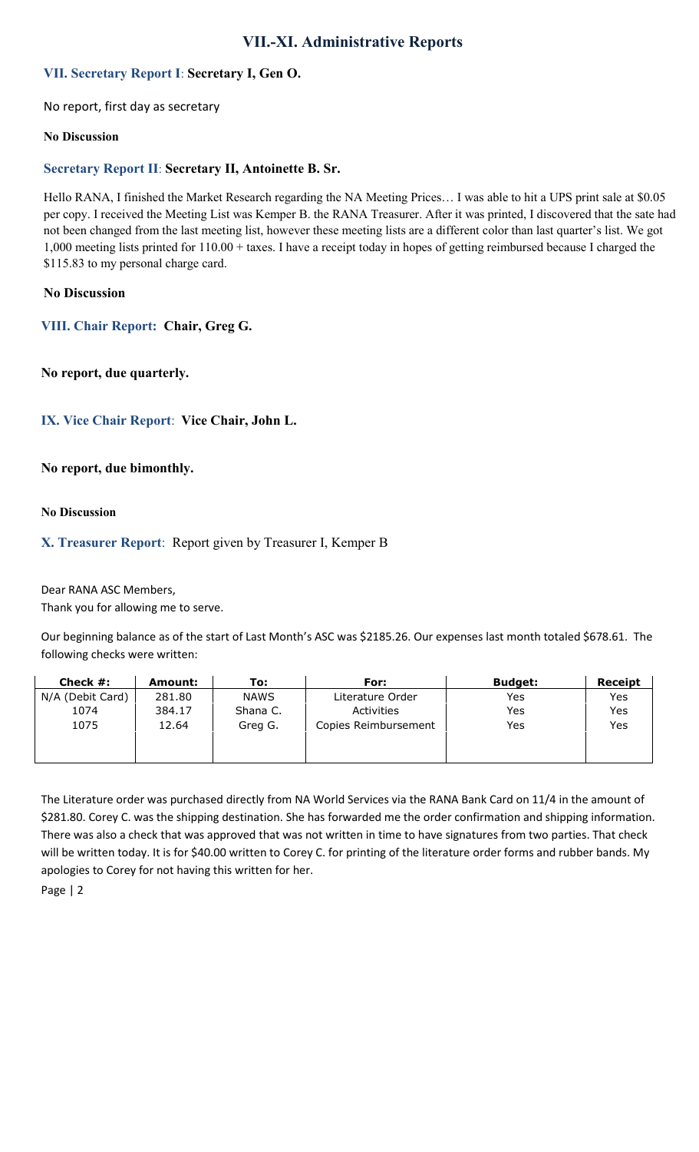# **VII.-XI. Administrative Reports**

### **VII. Secretary Report I**: **Secretary I, Gen O.**

No report, first day as secretary

#### **No Discussion**

#### **Secretary Report II**: **Secretary II, Antoinette B. Sr.**

Hello RANA, I finished the Market Research regarding the NA Meeting Prices… I was able to hit a UPS print sale at \$0.05 per copy. I received the Meeting List was Kemper B. the RANA Treasurer. After it was printed, I discovered that the sate had not been changed from the last meeting list, however these meeting lists are a different color than last quarter's list. We got 1,000 meeting lists printed for 110.00 + taxes. I have a receipt today in hopes of getting reimbursed because I charged the \$115.83 to my personal charge card.

#### **No Discussion**

**VIII. Chair Report: Chair, Greg G.** 

**No report, due quarterly.** 

### **IX. Vice Chair Report**: **Vice Chair, John L.**

#### **No report, due bimonthly.**

#### **No Discussion**

### **X. Treasurer Report**: Report given by Treasurer I, Kemper B

Dear RANA ASC Members, Thank you for allowing me to serve.

Our beginning balance as of the start of Last Month's ASC was \$2185.26. Our expenses last month totaled \$678.61. The following checks were written:

| Check $#$ :      | Amount: | To:         | For:                 | <b>Budget:</b> | Receipt |
|------------------|---------|-------------|----------------------|----------------|---------|
| N/A (Debit Card) | 281.80  | <b>NAWS</b> | Literature Order     | Yes            | Yes     |
| 1074             | 384.17  | Shana C.    | Activities           | Yes            | Yes     |
| 1075             | 12.64   | Greg G.     | Copies Reimbursement | Yes            | Yes     |
|                  |         |             |                      |                |         |
|                  |         |             |                      |                |         |

The Literature order was purchased directly from NA World Services via the RANA Bank Card on 11/4 in the amount of \$281.80. Corey C. was the shipping destination. She has forwarded me the order confirmation and shipping information. There was also a check that was approved that was not written in time to have signatures from two parties. That check will be written today. It is for \$40.00 written to Corey C. for printing of the literature order forms and rubber bands. My apologies to Corey for not having this written for her.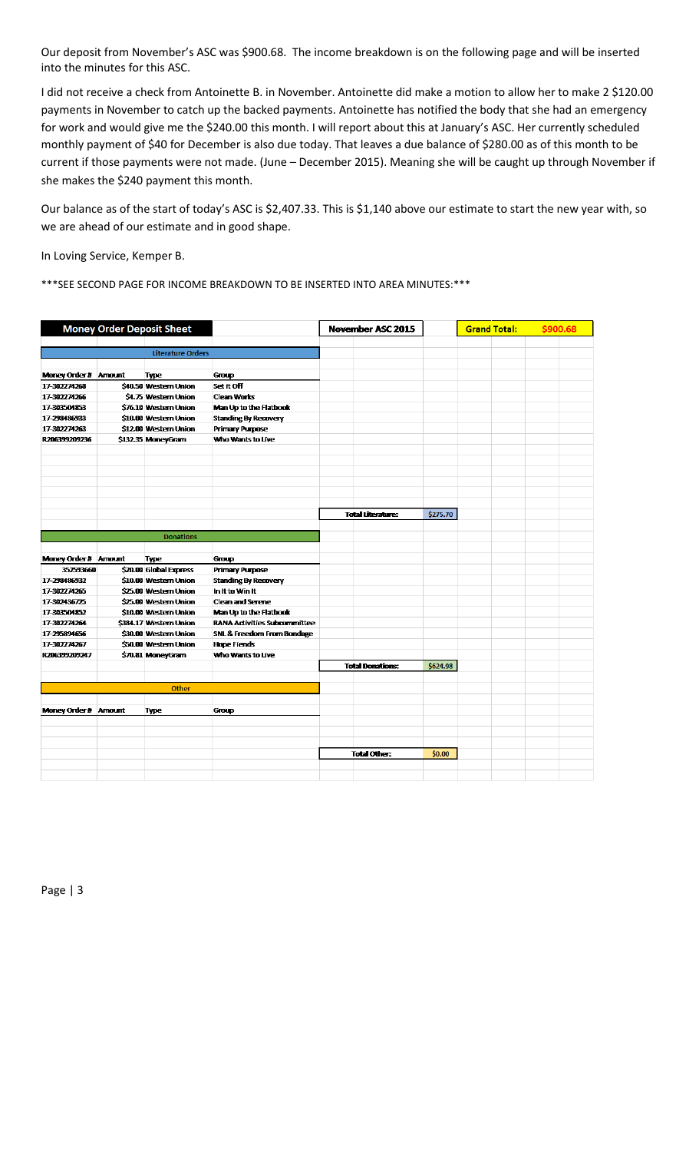Our deposit from November's ASC was \$900.68. The income breakdown is on the following page and will be inserted into the minutes for this ASC.

I did not receive a check from Antoinette B. in November. Antoinette did make a motion to allow her to make 2 \$120.00 payments in November to catch up the backed payments. Antoinette has notified the body that she had an emergency for work and would give me the \$240.00 this month. I will report about this at January's ASC. Her currently scheduled monthly payment of \$40 for December is also due today. That leaves a due balance of \$280.00 as of this month to be current if those payments were not made. (June – December 2015). Meaning she will be caught up through November if she makes the \$240 payment this month.

Our balance as of the start of today's ASC is \$2,407.33. This is \$1,140 above our estimate to start the new year with, so we are ahead of our estimate and in good shape.

In Loving Service, Kemper B.

\*\*\*SEE SECOND PAGE FOR INCOME BREAKDOWN TO BE INSERTED INTO AREA MINUTES:\*\*\*

|                             |               | <b>Money Order Deposit Sheet</b> |                                       | November ASC 2015        |          | <b>Grand Total:</b> | \$900.68 |
|-----------------------------|---------------|----------------------------------|---------------------------------------|--------------------------|----------|---------------------|----------|
|                             |               | <b>Literature Orders</b>         |                                       |                          |          |                     |          |
|                             |               |                                  |                                       |                          |          |                     |          |
| Money Order # Amount        |               | <b>Type</b>                      | <b>Group</b>                          |                          |          |                     |          |
| 17-302274268                |               | \$40.50 Western Union            | Set it Off                            |                          |          |                     |          |
| 17-302274266                |               | \$4.75 Western Union             | <b>Clean Works</b>                    |                          |          |                     |          |
| 17-303504853                |               | \$76.10 Western Union            | Man Up to the Flatbook                |                          |          |                     |          |
| 17-298486933                |               | \$10.00 Western Union            | <b>Standing By Recovery</b>           |                          |          |                     |          |
| 17-302274263                |               | \$12.00 Western Union            | <b>Primary Purpose</b>                |                          |          |                     |          |
| R206399209236               |               | \$132.35 MoneyGram               | Who Wants to Live                     |                          |          |                     |          |
|                             |               |                                  |                                       |                          |          |                     |          |
|                             |               |                                  |                                       |                          |          |                     |          |
|                             |               |                                  |                                       |                          |          |                     |          |
|                             |               |                                  |                                       |                          |          |                     |          |
|                             |               |                                  |                                       |                          |          |                     |          |
|                             |               |                                  |                                       |                          |          |                     |          |
|                             |               |                                  |                                       | <b>Total Literature:</b> | \$275.70 |                     |          |
|                             |               |                                  |                                       |                          |          |                     |          |
|                             |               | <b>Donations</b>                 |                                       |                          |          |                     |          |
|                             |               |                                  |                                       |                          |          |                     |          |
| <b>Money Order # Amount</b> |               | <b>Type</b>                      | Group                                 |                          |          |                     |          |
| 352593660                   |               | \$20.00 Global Express           | <b>Primary Purpose</b>                |                          |          |                     |          |
| 17-298486932                |               | \$10.00 Western Union            | <b>Standing By Recovery</b>           |                          |          |                     |          |
| 17-302274265                |               | \$25.00 Western Union            | In it to Win it                       |                          |          |                     |          |
| 17-302436725                |               | \$25.00 Western Union            | <b>Clean and Serene</b>               |                          |          |                     |          |
| 17-303504852                |               | \$10.00 Western Union            | <b>Man Up to the Flatbook</b>         |                          |          |                     |          |
| 17-302274264                |               | \$384.17 Western Union           | <b>RANA Activities Subcommittee</b>   |                          |          |                     |          |
| 17-295894656                |               | \$30.00 Western Union            | <b>SNL &amp; Freedom From Bondage</b> |                          |          |                     |          |
| 17-302274267                |               | \$50.00 Western Union            | <b>Hope Fiends</b>                    |                          |          |                     |          |
| R206399209247               |               | \$70.81 MoneyGram                | Who Wants to Live                     |                          |          |                     |          |
|                             |               |                                  |                                       | <b>Total Donations:</b>  | \$624.98 |                     |          |
|                             |               |                                  |                                       |                          |          |                     |          |
|                             |               | <b>Other</b>                     |                                       |                          |          |                     |          |
|                             |               |                                  |                                       |                          |          |                     |          |
| <b>Money Order #</b>        | <b>Amount</b> | <b>Type</b>                      | Group                                 |                          |          |                     |          |
|                             |               |                                  |                                       |                          |          |                     |          |
|                             |               |                                  |                                       |                          |          |                     |          |
|                             |               |                                  |                                       |                          |          |                     |          |
|                             |               |                                  |                                       | <b>Total Other:</b>      | \$0.00   |                     |          |
|                             |               |                                  |                                       |                          |          |                     |          |
|                             |               |                                  |                                       |                          |          |                     |          |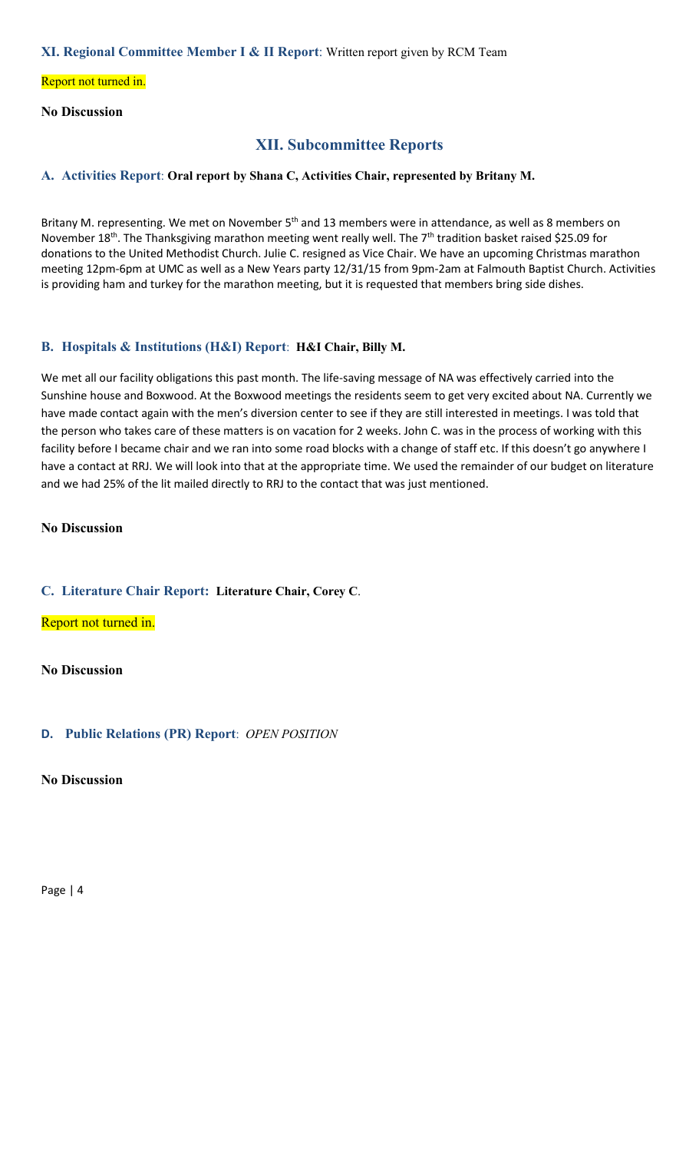#### **XI. Regional Committee Member I & II Report**: Written report given by RCM Team

#### Report not turned in.

#### **No Discussion**

## **XII. Subcommittee Reports**

#### **A. Activities Report**: **Oral report by Shana C, Activities Chair, represented by Britany M.**

Britany M. representing. We met on November 5<sup>th</sup> and 13 members were in attendance, as well as 8 members on November 18<sup>th</sup>. The Thanksgiving marathon meeting went really well. The 7<sup>th</sup> tradition basket raised \$25.09 for donations to the United Methodist Church. Julie C. resigned as Vice Chair. We have an upcoming Christmas marathon meeting 12pm-6pm at UMC as well as a New Years party 12/31/15 from 9pm-2am at Falmouth Baptist Church. Activities is providing ham and turkey for the marathon meeting, but it is requested that members bring side dishes.

#### **B. Hospitals & Institutions (H&I) Report**: **H&I Chair, Billy M.**

We met all our facility obligations this past month. The life-saving message of NA was effectively carried into the Sunshine house and Boxwood. At the Boxwood meetings the residents seem to get very excited about NA. Currently we have made contact again with the men's diversion center to see if they are still interested in meetings. I was told that the person who takes care of these matters is on vacation for 2 weeks. John C. was in the process of working with this facility before I became chair and we ran into some road blocks with a change of staff etc. If this doesn't go anywhere I have a contact at RRJ. We will look into that at the appropriate time. We used the remainder of our budget on literature and we had 25% of the lit mailed directly to RRJ to the contact that was just mentioned.

#### **No Discussion**

#### **C. Literature Chair Report: Literature Chair, Corey C**.

Report not turned in.

#### **No Discussion**

#### **D. Public Relations (PR) Report**: *OPEN POSITION*

**No Discussion**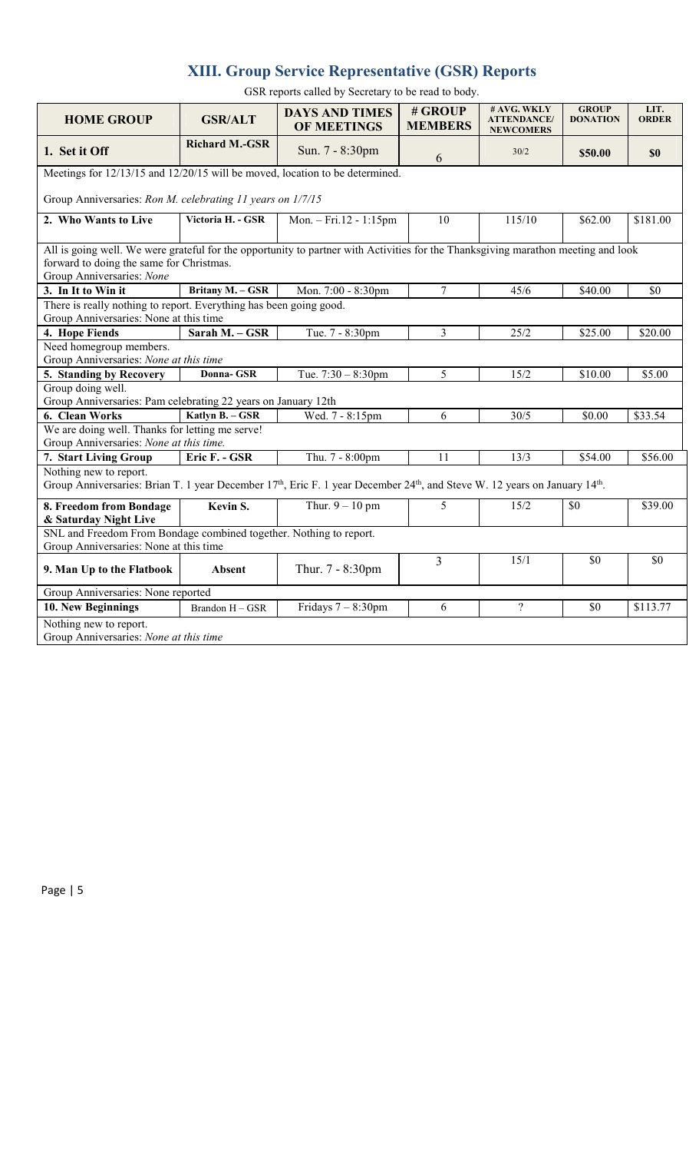# **XIII. Group Service Representative (GSR) Reports**

GSR reports called by Secretary to be read to body.

| <b>HOME GROUP</b>                                                                                                                                                                         | <b>GSR/ALT</b>                                                                                                                                                                | <b>DAYS AND TIMES</b><br><b>OF MEETINGS</b> | # GROUP<br><b>MEMBERS</b> | # AVG. WKLY<br><b>ATTENDANCE/</b><br><b>NEWCOMERS</b> | <b>GROUP</b><br><b>DONATION</b> | LIT.<br><b>ORDER</b> |  |  |  |
|-------------------------------------------------------------------------------------------------------------------------------------------------------------------------------------------|-------------------------------------------------------------------------------------------------------------------------------------------------------------------------------|---------------------------------------------|---------------------------|-------------------------------------------------------|---------------------------------|----------------------|--|--|--|
| 1. Set it Off                                                                                                                                                                             | <b>Richard M.-GSR</b>                                                                                                                                                         | Sun. 7 - 8:30pm                             | 6                         | 30/2                                                  | \$50.00                         | <b>SO</b>            |  |  |  |
| Meetings for 12/13/15 and 12/20/15 will be moved, location to be determined.                                                                                                              |                                                                                                                                                                               |                                             |                           |                                                       |                                 |                      |  |  |  |
| Group Anniversaries: Ron M. celebrating 11 years on 1/7/15                                                                                                                                |                                                                                                                                                                               |                                             |                           |                                                       |                                 |                      |  |  |  |
| 2. Who Wants to Live                                                                                                                                                                      | Victoria H. - GSR                                                                                                                                                             | Mon. - Fri.12 - 1:15pm                      | 10                        | 115/10                                                | \$62.00                         | $\overline{$}181.00$ |  |  |  |
| Group Anniversaries: None                                                                                                                                                                 | All is going well. We were grateful for the opportunity to partner with Activities for the Thanksgiving marathon meeting and look<br>forward to doing the same for Christmas. |                                             |                           |                                                       |                                 |                      |  |  |  |
| 3. In It to Win it                                                                                                                                                                        | Britany M. - GSR                                                                                                                                                              | Mon. 7:00 - 8:30pm                          | $\overline{7}$            | 45/6                                                  | \$40.00                         | \$0                  |  |  |  |
| There is really nothing to report. Everything has been going good.                                                                                                                        |                                                                                                                                                                               |                                             |                           |                                                       |                                 |                      |  |  |  |
| Group Anniversaries: None at this time                                                                                                                                                    |                                                                                                                                                                               |                                             | $\overline{3}$            | 25/2                                                  |                                 |                      |  |  |  |
| 4. Hope Fiends<br>Need homegroup members.                                                                                                                                                 | Sarah M. - GSR                                                                                                                                                                | Tue. 7 - 8:30pm                             |                           |                                                       | \$25.00                         | \$20.00              |  |  |  |
| Group Anniversaries: None at this time                                                                                                                                                    |                                                                                                                                                                               |                                             |                           |                                                       |                                 |                      |  |  |  |
| 5. Standing by Recovery                                                                                                                                                                   | Donna- GSR                                                                                                                                                                    | Tue. $7:30 - 8:30$ pm                       | 5                         | 15/2                                                  | \$10.00                         | \$5.00               |  |  |  |
| Group doing well.                                                                                                                                                                         |                                                                                                                                                                               |                                             |                           |                                                       |                                 |                      |  |  |  |
| Group Anniversaries: Pam celebrating 22 years on January 12th                                                                                                                             |                                                                                                                                                                               |                                             |                           |                                                       |                                 |                      |  |  |  |
| 6. Clean Works                                                                                                                                                                            | Katlyn B. $-$ GSR                                                                                                                                                             | Wed. 7 - 8:15pm                             | 6                         | 30/5                                                  | \$0.00                          | \$33.54              |  |  |  |
| We are doing well. Thanks for letting me serve!                                                                                                                                           |                                                                                                                                                                               |                                             |                           |                                                       |                                 |                      |  |  |  |
| Group Anniversaries: None at this time.                                                                                                                                                   |                                                                                                                                                                               |                                             |                           |                                                       |                                 |                      |  |  |  |
| 7. Start Living Group                                                                                                                                                                     | Eric F. - GSR                                                                                                                                                                 | Thu. 7 - 8:00pm                             | 11                        | 13/3                                                  | \$54.00                         | \$56.00              |  |  |  |
| Nothing new to report.<br>Group Anniversaries: Brian T. 1 year December 17 <sup>th</sup> , Eric F. 1 year December 24 <sup>th</sup> , and Steve W. 12 years on January 14 <sup>th</sup> . |                                                                                                                                                                               |                                             |                           |                                                       |                                 |                      |  |  |  |
| 8. Freedom from Bondage                                                                                                                                                                   | Kevin S.                                                                                                                                                                      | Thur. $9 - 10$ pm                           | 5                         | 15/2                                                  | \$0                             | \$39.00              |  |  |  |
| & Saturday Night Live                                                                                                                                                                     |                                                                                                                                                                               |                                             |                           |                                                       |                                 |                      |  |  |  |
| SNL and Freedom From Bondage combined together. Nothing to report.                                                                                                                        |                                                                                                                                                                               |                                             |                           |                                                       |                                 |                      |  |  |  |
| Group Anniversaries: None at this time                                                                                                                                                    |                                                                                                                                                                               |                                             | 3                         | 15/1                                                  | \$0                             | \$0                  |  |  |  |
| 9. Man Up to the Flatbook                                                                                                                                                                 | Absent                                                                                                                                                                        | Thur. 7 - 8:30pm                            |                           |                                                       |                                 |                      |  |  |  |
| Group Anniversaries: None reported                                                                                                                                                        |                                                                                                                                                                               |                                             |                           |                                                       |                                 |                      |  |  |  |
| 10. New Beginnings                                                                                                                                                                        | Brandon $H - GSR$                                                                                                                                                             | Fridays $7 - 8:30$ pm                       | 6                         | $\overline{?}$                                        | \$0                             | \$113.77             |  |  |  |
| Nothing new to report.<br>Group Anniversaries: None at this time                                                                                                                          |                                                                                                                                                                               |                                             |                           |                                                       |                                 |                      |  |  |  |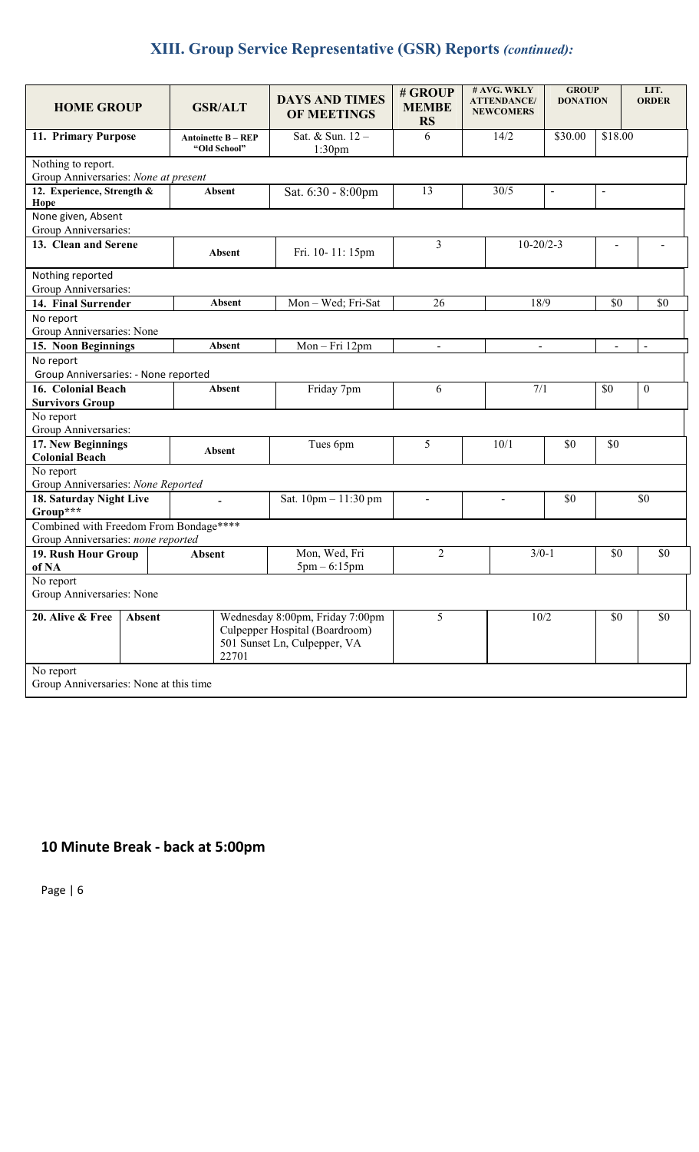# **XIII. Group Service Representative (GSR) Reports** *(continued):*

| <b>HOME GROUP</b>                                             | <b>GSR/ALT</b>                            | <b>DAYS AND TIMES</b><br><b>OF MEETINGS</b>                                                       | # GROUP<br><b>MEMBE</b><br><b>RS</b> | # AVG. WKLY<br><b>ATTENDANCE/</b><br><b>NEWCOMERS</b> | <b>GROUP</b><br><b>DONATION</b> |                | LIT.<br><b>ORDER</b> |  |  |
|---------------------------------------------------------------|-------------------------------------------|---------------------------------------------------------------------------------------------------|--------------------------------------|-------------------------------------------------------|---------------------------------|----------------|----------------------|--|--|
| 11. Primary Purpose                                           | <b>Antoinette B - REP</b><br>"Old School" | Sat. & Sun. 12-<br>1:30 <sub>pm</sub>                                                             | 6                                    | 14/2                                                  | \$30.00                         | \$18.00        |                      |  |  |
| Nothing to report.                                            |                                           |                                                                                                   |                                      |                                                       |                                 |                |                      |  |  |
| Group Anniversaries: None at present                          |                                           |                                                                                                   |                                      |                                                       |                                 |                |                      |  |  |
| 12. Experience, Strength &<br>Hope                            | Absent                                    | Sat. 6:30 - 8:00pm                                                                                | 13                                   | 30/5                                                  | $\blacksquare$                  | $\blacksquare$ |                      |  |  |
| None given, Absent                                            |                                           |                                                                                                   |                                      |                                                       |                                 |                |                      |  |  |
| Group Anniversaries:                                          |                                           |                                                                                                   |                                      |                                                       |                                 |                |                      |  |  |
| 13. Clean and Serene                                          | Absent                                    | Fri. 10-11: 15pm                                                                                  | 3                                    | $10 - 20/2 - 3$                                       |                                 |                |                      |  |  |
| Nothing reported                                              |                                           |                                                                                                   |                                      |                                                       |                                 |                |                      |  |  |
| Group Anniversaries:                                          |                                           |                                                                                                   |                                      |                                                       |                                 |                |                      |  |  |
| 14. Final Surrender                                           | <b>Absent</b>                             | Mon-Wed; Fri-Sat                                                                                  | 26                                   | 18/9                                                  |                                 | \$0            | \$0                  |  |  |
| No report<br>Group Anniversaries: None                        |                                           |                                                                                                   |                                      |                                                       |                                 |                |                      |  |  |
| 15. Noon Beginnings                                           | <b>Absent</b>                             | Mon-Fri 12pm                                                                                      |                                      |                                                       |                                 |                | $\blacksquare$       |  |  |
| No report                                                     |                                           |                                                                                                   |                                      |                                                       |                                 |                |                      |  |  |
| Group Anniversaries: - None reported                          |                                           |                                                                                                   |                                      |                                                       |                                 |                |                      |  |  |
| <b>16. Colonial Beach</b>                                     | <b>Absent</b>                             | Friday 7pm                                                                                        | 6                                    | 7/1                                                   |                                 | \$0            | $\mathbf{0}$         |  |  |
| <b>Survivors Group</b>                                        |                                           |                                                                                                   |                                      |                                                       |                                 |                |                      |  |  |
| No report                                                     |                                           |                                                                                                   |                                      |                                                       |                                 |                |                      |  |  |
| Group Anniversaries:                                          |                                           |                                                                                                   |                                      |                                                       |                                 |                |                      |  |  |
| 17. New Beginnings                                            | Absent                                    | Tues 6pm                                                                                          | 5                                    | 10/1                                                  | \$0                             | \$0            |                      |  |  |
| <b>Colonial Beach</b>                                         |                                           |                                                                                                   |                                      |                                                       |                                 |                |                      |  |  |
| No report                                                     |                                           |                                                                                                   |                                      |                                                       |                                 |                |                      |  |  |
| Group Anniversaries: None Reported<br>18. Saturday Night Live |                                           | Sat. 10pm - 11:30 pm                                                                              |                                      |                                                       | \$0                             |                | \$0                  |  |  |
| Group***                                                      | $\mathbf{r}$                              |                                                                                                   |                                      |                                                       |                                 |                |                      |  |  |
| Combined with Freedom From Bondage****                        |                                           |                                                                                                   |                                      |                                                       |                                 |                |                      |  |  |
| Group Anniversaries: none reported                            |                                           |                                                                                                   |                                      |                                                       |                                 |                |                      |  |  |
| 19. Rush Hour Group                                           | <b>Absent</b>                             | Mon, Wed, Fri                                                                                     | $\overline{2}$                       | $3/0-1$                                               |                                 | \$0            | \$0                  |  |  |
| of NA                                                         |                                           | $5pm - 6:15pm$                                                                                    |                                      |                                                       |                                 |                |                      |  |  |
| No report                                                     |                                           |                                                                                                   |                                      |                                                       |                                 |                |                      |  |  |
| Group Anniversaries: None                                     |                                           |                                                                                                   |                                      |                                                       |                                 |                |                      |  |  |
| 20. Alive & Free<br>Absent                                    | 22701                                     | Wednesday 8:00pm, Friday 7:00pm<br>Culpepper Hospital (Boardroom)<br>501 Sunset Ln, Culpepper, VA | 5                                    | 10/2                                                  |                                 | \$0            | \$0\$                |  |  |
| No report<br>Group Anniversaries: None at this time           |                                           |                                                                                                   |                                      |                                                       |                                 |                |                      |  |  |

# **10 Minute Break - back at 5:00pm**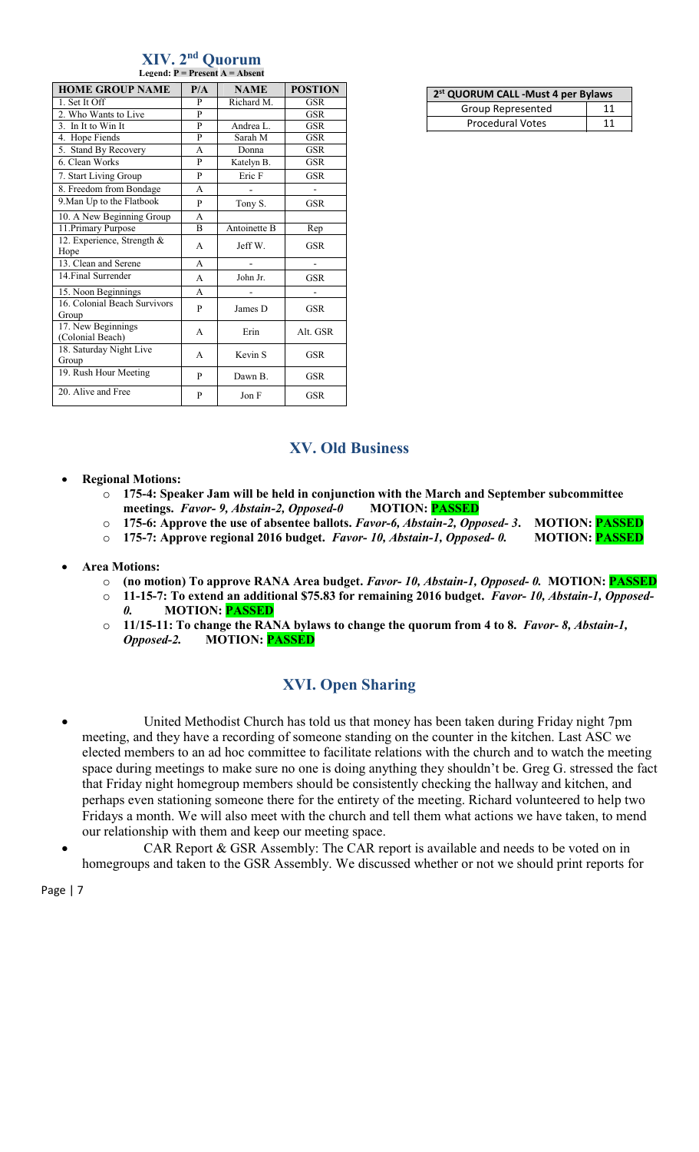#### **XIV. 2nd Quorum Legend: P = Present A = Absent**

| <b>HOME GROUP NAME</b>                 | P/A | <b>NAME</b>        | <b>POSTION</b> |
|----------------------------------------|-----|--------------------|----------------|
| 1. Set It Off                          | P   | Richard M.         | GSR            |
| 2. Who Wants to Live                   | P   |                    | <b>GSR</b>     |
| 3. In It to Win It                     | P   | Andrea L.          | <b>GSR</b>     |
| 4. Hope Fiends                         | P   | Sarah M            | GSR            |
| 5. Stand By Recovery                   | A   | Donna              | <b>GSR</b>     |
| 6. Clean Works                         | P   | Katelyn B.         | <b>GSR</b>     |
| 7. Start Living Group                  | P   | Eric F             | <b>GSR</b>     |
| 8. Freedom from Bondage                | A   |                    |                |
| 9. Man Up to the Flatbook              | P   | Tony S.            | GSR            |
| 10. A New Beginning Group              | A   |                    |                |
| 11. Primary Purpose                    | B   | Antoinette B       | Rep            |
| 12. Experience, Strength &<br>Hope     | A   | Jeff W.            | GSR            |
| 13. Clean and Serene                   | A   |                    |                |
| 14. Final Surrender                    | A   | John Jr.           | <b>GSR</b>     |
| 15. Noon Beginnings                    | A   |                    |                |
| 16. Colonial Beach Survivors<br>Group  | P   | James D            | GSR            |
| 17. New Beginnings<br>(Colonial Beach) | A   | Erin               | Alt. GSR       |
| 18. Saturday Night Live<br>Group       | A   | Kevin <sub>S</sub> | GSR            |
| 19. Rush Hour Meeting                  | P   | Dawn B.            | GSR            |
| 20. Alive and Free                     | P   | Jon F              | GSR            |

| 2 <sup>st</sup> QUORUM CALL - Must 4 per Bylaws |  |  |  |  |
|-------------------------------------------------|--|--|--|--|
| Group Represented                               |  |  |  |  |
| <b>Procedural Votes</b>                         |  |  |  |  |

## **XV. Old Business**

- **Regional Motions:** 
	- o **175-4: Speaker Jam will be held in conjunction with the March and September subcommittee**   $meetings.$  *Favor- 9, Abstain-2, Opposed-0*
	- o **175-6: Approve the use of absentee ballots.** *Favor-6, Abstain-2, Opposed- 3***. MOTION: PASSED**
	- o **175-7: Approve regional 2016 budget.** *Favor- 10, Abstain-1, Opposed- 0.* **MOTION: PASSED**

#### • **Area Motions:**

- o **(no motion) To approve RANA Area budget.** *Favor- 10, Abstain-1, Opposed- 0.* **MOTION: PASSED**
- o **11-15-7: To extend an additional \$75.83 for remaining 2016 budget.** *Favor- 10, Abstain-1, Opposed-*
- *0.* **MOTION: PASSED**
- o **11/15-11: To change the RANA bylaws to change the quorum from 4 to 8.** *Favor- 8, Abstain-1, Opposed-2.* **MOTION: PASSED**

# **XVI. Open Sharing**

- United Methodist Church has told us that money has been taken during Friday night 7pm meeting, and they have a recording of someone standing on the counter in the kitchen. Last ASC we elected members to an ad hoc committee to facilitate relations with the church and to watch the meeting space during meetings to make sure no one is doing anything they shouldn't be. Greg G. stressed the fact that Friday night homegroup members should be consistently checking the hallway and kitchen, and perhaps even stationing someone there for the entirety of the meeting. Richard volunteered to help two Fridays a month. We will also meet with the church and tell them what actions we have taken, to mend our relationship with them and keep our meeting space.
- CAR Report & GSR Assembly: The CAR report is available and needs to be voted on in homegroups and taken to the GSR Assembly. We discussed whether or not we should print reports for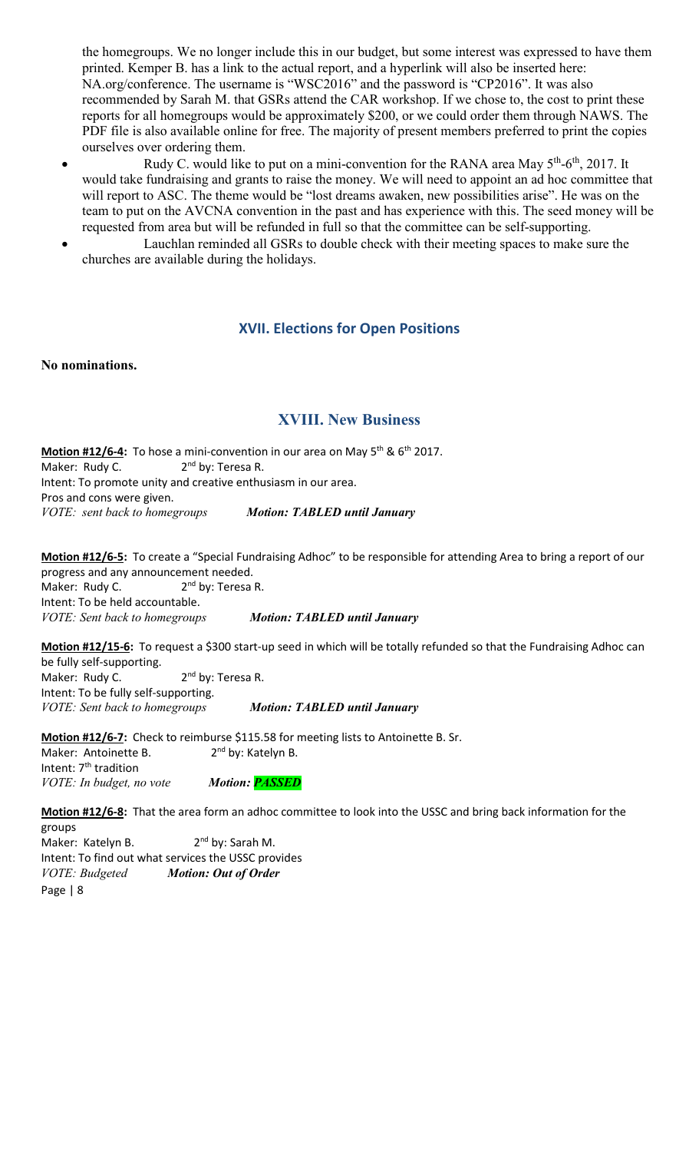the homegroups. We no longer include this in our budget, but some interest was expressed to have them printed. Kemper B. has a link to the actual report, and a hyperlink will also be inserted here: NA.org/conference. The username is "WSC2016" and the password is "CP2016". It was also recommended by Sarah M. that GSRs attend the CAR workshop. If we chose to, the cost to print these reports for all homegroups would be approximately \$200, or we could order them through NAWS. The PDF file is also available online for free. The majority of present members preferred to print the copies ourselves over ordering them.

- Rudy C. would like to put on a mini-convention for the RANA area May  $5<sup>th</sup>$ -6<sup>th</sup>, 2017. It would take fundraising and grants to raise the money. We will need to appoint an ad hoc committee that will report to ASC. The theme would be "lost dreams awaken, new possibilities arise". He was on the team to put on the AVCNA convention in the past and has experience with this. The seed money will be requested from area but will be refunded in full so that the committee can be self-supporting.
- Lauchlan reminded all GSRs to double check with their meeting spaces to make sure the churches are available during the holidays.

## **XVII. Elections for Open Positions**

**No nominations.**

## **XVIII. New Business**

**Motion #12/6-4:** To hose a mini-convention in our area on May 5<sup>th</sup> & 6<sup>th</sup> 2017. Maker: Rudy C. 2<sup>nd</sup> by: Teresa R. Intent: To promote unity and creative enthusiasm in our area. Pros and cons were given. *VOTE: sent back to homegroups Motion: TABLED until January*

**Motion #12/6-5:** To create a "Special Fundraising Adhoc" to be responsible for attending Area to bring a report of our progress and any announcement needed. Maker: Rudy C. 2<sup>nd</sup> by: Teresa R. Intent: To be held accountable. *VOTE: Sent back to homegroups Motion: TABLED until January* 

**Motion #12/15-6:** To request a \$300 start-up seed in which will be totally refunded so that the Fundraising Adhoc can be fully self-supporting. Maker: Rudy C. 2<sup>nd</sup> by: Teresa R. Intent: To be fully self-supporting.

*VOTE: Sent back to homegroups Motion: TABLED until January* 

**Motion #12/6-7:** Check to reimburse \$115.58 for meeting lists to Antoinette B. Sr. Maker: Antoinette B. 2<sup>nd</sup> by: Katelyn B. Intent: 7<sup>th</sup> tradition *VOTE: In budget, no vote Motion: PASSED* 

**Motion #12/6-8:** That the area form an adhoc committee to look into the USSC and bring back information for the groups

Page | 8 Maker: Katelyn B. 2<sup>nd</sup> by: Sarah M. Intent: To find out what services the USSC provides *VOTE: Budgeted Motion: Out of Order*